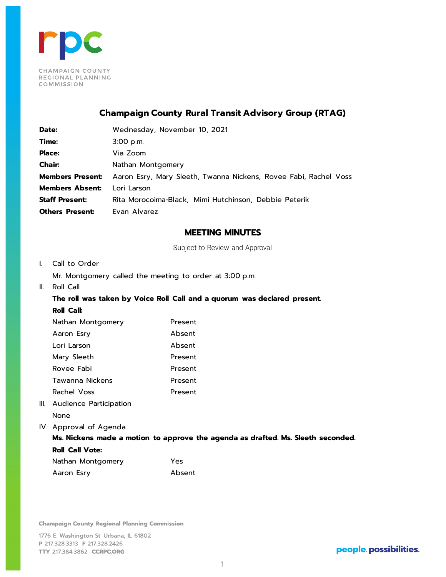

# **Champaign County Rural Transit Advisory Group (RTAG)**

| Date:                   | Wednesday, November 10, 2021                                     |
|-------------------------|------------------------------------------------------------------|
| Time:                   | $3:00$ p.m.                                                      |
| <b>Place:</b>           | Via Zoom                                                         |
| <b>Chair:</b>           | Nathan Montgomery                                                |
| <b>Members Present:</b> | Aaron Esry, Mary Sleeth, Twanna Nickens, Rovee Fabi, Rachel Voss |
| <b>Members Absent:</b>  | Lori Larson                                                      |
| <b>Staff Present:</b>   | Rita Morocoima-Black, Mimi Hutchinson, Debbie Peterik            |
| <b>Others Present:</b>  | Evan Alvarez                                                     |

### **MEETING MINUTES**

Subject to Review and Approval

- I. Call to Order
	- Mr. Montgomery called the meeting to order at 3:00 p.m.
- II. Roll Call

# **The roll was taken by Voice Roll Call and a quorum was declared present. Roll Call:**

| Nathan Montgomery | Present |
|-------------------|---------|
| Aaron Esry        | Absent  |
| Lori Larson       | Absent  |
| Mary Sleeth       | Present |
| Rovee Fabi        | Present |
| Tawanna Nickens   | Present |
| Rachel Voss       | Present |
|                   |         |

- III. Audience Participation None
- IV. Approval of Agenda

### **Ms. Nickens made a motion to approve the agenda as drafted. Ms. Sleeth seconded.**

### **Roll Call Vote:**

| Nathan Montgomery | Yes    |
|-------------------|--------|
| Aaron Esry        | Absent |

**Champaign County Regional Planning Commission**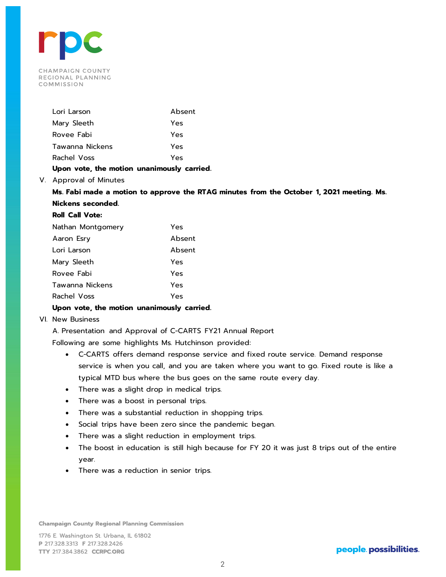

| Lori Larson     | Absent |
|-----------------|--------|
| Mary Sleeth     | Yes    |
| Rovee Fabi      | Yes    |
| Tawanna Nickens | Yes    |
| Rachel Voss     | Yes    |
|                 |        |

### **Upon vote, the motion unanimously carried.**

V. Approval of Minutes

**Ms. Fabi made a motion to approve the RTAG minutes from the October 1, 2021 meeting. Ms. Nickens seconded.**

# **Roll Call Vote:**

| Nathan Montgomery | Yes    |
|-------------------|--------|
| Aaron Esry        | Absent |
| Lori Larson       | Absent |
| Mary Sleeth       | Yes    |
| Rovee Fabi        | Yes    |
| Tawanna Nickens   | Yes    |
| Rachel Voss       | Yes    |

### **Upon vote, the motion unanimously carried.**

VI. New Business

A. Presentation and Approval of C-CARTS FY21 Annual Report

Following are some highlights Ms. Hutchinson provided:

- C-CARTS offers demand response service and fixed route service. Demand response service is when you call, and you are taken where you want to go. Fixed route is like a typical MTD bus where the bus goes on the same route every day.
- There was a slight drop in medical trips.
- There was a boost in personal trips.
- There was a substantial reduction in shopping trips.
- Social trips have been zero since the pandemic began.
- There was a slight reduction in employment trips.
- The boost in education is still high because for FY 20 it was just 8 trips out of the entire year.
- There was a reduction in senior trips.

**Champaign County Regional Planning Commission**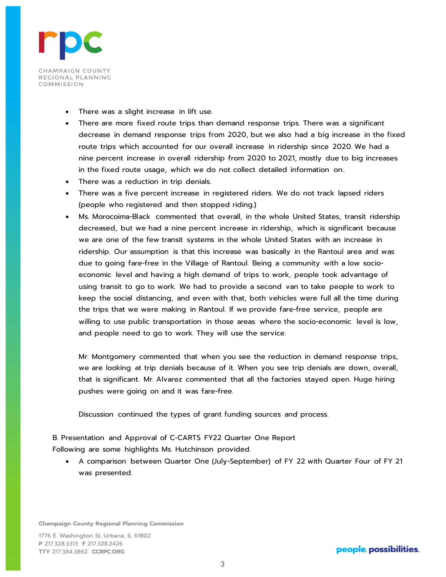

- There was a slight increase in lift use.
- There are more fixed route trips than demand response trips. There was a significant decrease in demand response trips from 2020, but we also had a big increase in the fixed route trips which accounted for our overall increase in ridership since 2020. We had a nine percent increase in overall ridership from 2020 to 2021, mostly due to big increases in the fixed route usage, which we do not collect detailed information on..
- There was a reduction in trip denials.
- There was a five percent increase in registered riders. We do not track lapsed riders (people who registered and then stopped riding.)
- Ms. Morocoima-Black commented that overall, in the whole United States, transit ridership decreased, but we had a nine percent increase in ridership, which is significant because we are one of the few transit systems in the whole United States with an increase in ridership. Our assumption is that this increase was basically in the Rantoul area and was due to going fare-free in the Village of Rantoul. Being a community with a low socioeconomic level and having a high demand of trips to work, people took advantage of using transit to go to work. We had to provide a second van to take people to work to keep the social distancing, and even with that, both vehicles were full all the time during the trips that we were making in Rantoul. If we provide fare-free service, people are willing to use public transportation in those areas where the socio-economic level is low, and people need to go to work. They will use the service.

Mr. Montgomery commented that when you see the reduction in demand response trips, we are looking at trip denials because of it. When you see trip denials are down, overall, that is significant. Mr. Alvarez commented that all the factories stayed open. Huge hiring pushes were going on and it was fare-free.

Discussion continued the types of grant funding sources and process.

B. Presentation and Approval of C-CARTS FY22 Quarter One Report Following are some highlights Ms. Hutchinson provided.

• A comparison between Quarter One (July-September) of FY 22 with Quarter Four of FY 21 was presented.

**Champaign County Regional Planning Commission** 

1776 E. Washington St. Urbana, IL 61802 P 217.328.3313 F 217.328.2426 TTY 217.384.3862 CCRPC.ORG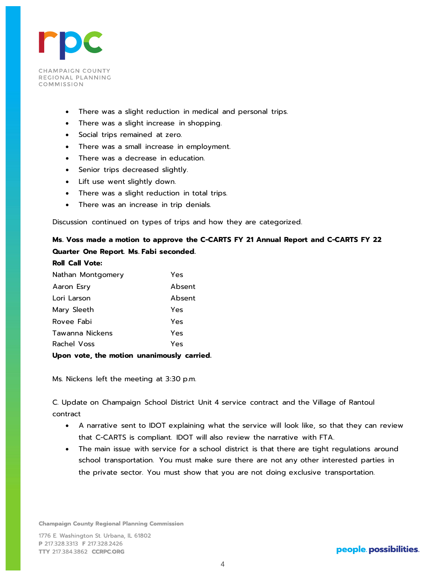

- There was a slight reduction in medical and personal trips.
- There was a slight increase in shopping.
- Social trips remained at zero.
- There was a small increase in employment.
- There was a decrease in education.
- Senior trips decreased slightly.
- Lift use went slightly down.
- There was a slight reduction in total trips.
- There was an increase in trip denials.

Discussion continued on types of trips and how they are categorized.

# **Ms. Voss made a motion to approve the C-CARTS FY 21 Annual Report and C-CARTS FY 22 Quarter One Report. Ms. Fabi seconded.**

| <b>Roll Call Vote:</b> |  |
|------------------------|--|
|------------------------|--|

| Nathan Montgomery | Yes    |
|-------------------|--------|
| Aaron Esry        | Absent |
| Lori Larson       | Absent |
| Mary Sleeth       | Yes    |
| Rovee Fabi        | Yes    |
| Tawanna Nickens   | Yes    |
| Rachel Voss       | Yes    |
|                   |        |

**Upon vote, the motion unanimously carried.**

Ms. Nickens left the meeting at 3:30 p.m.

C. Update on Champaign School District Unit 4 service contract and the Village of Rantoul contract

- A narrative sent to IDOT explaining what the service will look like, so that they can review that C-CARTS is compliant. IDOT will also review the narrative with FTA.
- The main issue with service for a school district is that there are tight regulations around school transportation. You must make sure there are not any other interested parties in the private sector. You must show that you are not doing exclusive transportation.

**Champaign County Regional Planning Commission**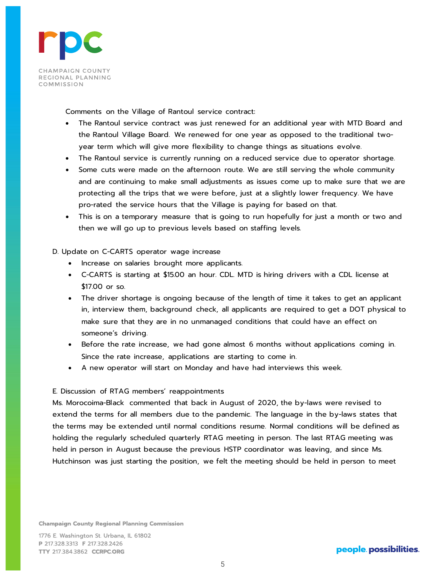

Comments on the Village of Rantoul service contract:

- The Rantoul service contract was just renewed for an additional year with MTD Board and the Rantoul Village Board. We renewed for one year as opposed to the traditional twoyear term which will give more flexibility to change things as situations evolve.
- The Rantoul service is currently running on a reduced service due to operator shortage.
- Some cuts were made on the afternoon route. We are still serving the whole community and are continuing to make small adjustments as issues come up to make sure that we are protecting all the trips that we were before, just at a slightly lower frequency. We have pro-rated the service hours that the Village is paying for based on that.
- This is on a temporary measure that is going to run hopefully for just a month or two and then we will go up to previous levels based on staffing levels.

### D. Update on C-CARTS operator wage increase

- Increase on salaries brought more applicants.
- C-CARTS is starting at \$15.00 an hour. CDL. MTD is hiring drivers with a CDL license at \$17.00 or so.
- The driver shortage is ongoing because of the length of time it takes to get an applicant in, interview them, background check, all applicants are required to get a DOT physical to make sure that they are in no unmanaged conditions that could have an effect on someone's driving.
- Before the rate increase, we had gone almost 6 months without applications coming in. Since the rate increase, applications are starting to come in.
- A new operator will start on Monday and have had interviews this week.

### E. Discussion of RTAG members' reappointments

Ms. Morocoima-Black commented that back in August of 2020, the by-laws were revised to extend the terms for all members due to the pandemic. The language in the by-laws states that the terms may be extended until normal conditions resume. Normal conditions will be defined as holding the regularly scheduled quarterly RTAG meeting in person. The last RTAG meeting was held in person in August because the previous HSTP coordinator was leaving, and since Ms. Hutchinson was just starting the position, we felt the meeting should be held in person to meet

**Champaign County Regional Planning Commission** 

1776 E. Washington St. Urbana, IL 61802 P 217.328.3313 F 217.328.2426 TTY 217.384.3862 CCRPC.ORG

# people. possibilities.